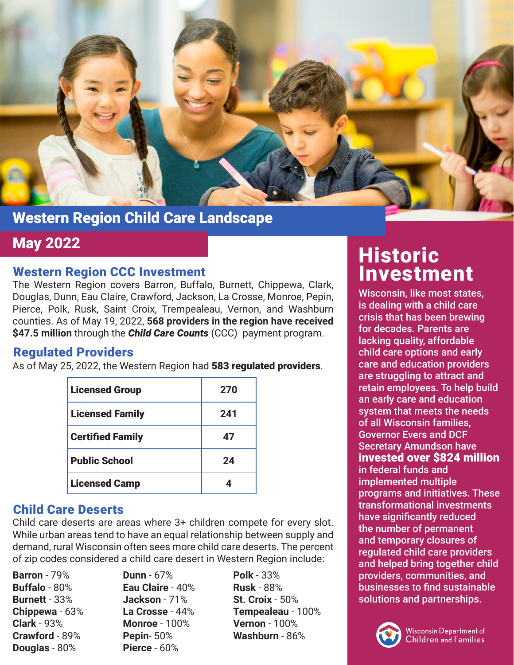

## Western Region Child Care Landscape

#### Western Region CCC Investment

The Western Region covers Barron, Buffalo, Burnett, Chippewa, Clark, Douglas, Dunn, Eau Claire, Crawford, Jackson, La Crosse, Monroe, Pepin, Pierce, Polk, Rusk, Saint Croix, Trempealeau, Vernon, and Washburn counties. As of May 19, 2022, **568 providers in the region have received \$47.5 million** through the *Child Care Counts* (CCC) payment program.

### Regulated Providers

As of May 25, 2022, the Western Region had 583 regulated providers.

| <b>Licensed Group</b>   | 270 |
|-------------------------|-----|
| <b>Licensed Family</b>  | 241 |
| <b>Certified Family</b> | 47  |
| <b>Public School</b>    | 24  |
| <b>Licensed Camp</b>    |     |

### Child Care Deserts

Child care deserts are areas where 3+ children compete for every slot. While urban areas tend to have an equal relationship between supply and demand, rural Wisconsin often sees more child care deserts. The percent of zip codes considered a child care desert in Western Region include:

**Barron** - 79% **Buffalo** - 80% **Burnett** - 33% **Chippewa** - 63% **Clark** - 93% **Crawford** - 89% **Douglas** - 80%

**Dunn** - 67% **Eau Claire** - 40% **Jackson** - 71% **La Crosse** - 44% **Monroe** - 100% **Pepin**- 50% **Pierce** - 60%

**Polk** - 33% **Rusk** - 88% **St. Croix** - 50% **Tempealeau** - 100% **Vernon** - 100% **Washburn** - 86%

# May 2022 **May 2022 Historic** Investment

Wisconsin, like most states, is dealing with a child care crisis that has been brewing for decades. Parents are lacking quality, affordable child care options and early care and education providers are struggling to attract and retain employees. To help build an early care and education system that meets the needs of all Wisconsin families, Governor Evers and DCF Secretary Amundson have invested over \$824 million in federal funds and implemented multiple programs and initiatives. These transformational investments have significantly reduced the number of permanent and temporary closures of regulated child care providers and helped bring together child providers, communities, and businesses to find sustainable solutions and partnerships.

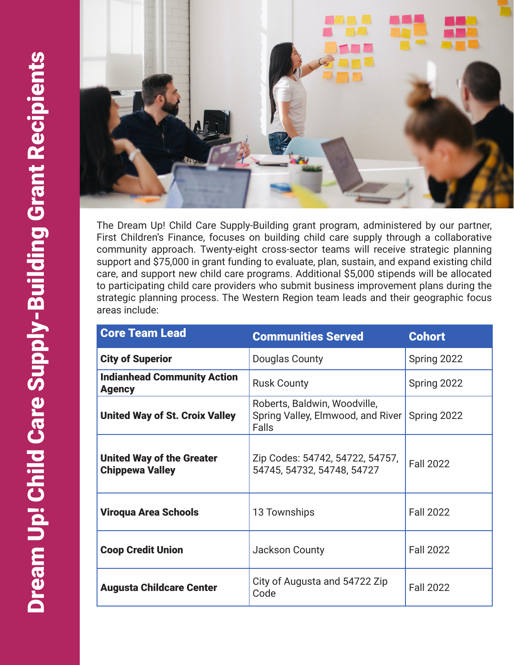

The Dream Up! Child Care Supply-Building grant program, administered by our partner, First Children's Finance, focuses on building child care supply through a collaborative community approach. Twenty-eight cross-sector teams will receive strategic planning support and \$75,000 in grant funding to evaluate, plan, sustain, and expand existing child care, and support new child care programs. Additional \$5,000 stipends will be allocated to participating child care providers who submit business improvement plans during the strategic planning process. The Western Region team leads and their geographic focus areas include:

| <b>Core Team Lead</b>                                      | <b>Communities Served</b>                                                  | <b>Cohort</b>    |
|------------------------------------------------------------|----------------------------------------------------------------------------|------------------|
| <b>City of Superior</b>                                    | Douglas County                                                             | Spring 2022      |
| <b>Indianhead Community Action</b><br><b>Agency</b>        | <b>Rusk County</b>                                                         | Spring 2022      |
| <b>United Way of St. Croix Valley</b>                      | Roberts, Baldwin, Woodville,<br>Spring Valley, Elmwood, and River<br>Falls | Spring 2022      |
| <b>United Way of the Greater</b><br><b>Chippewa Valley</b> | Zip Codes: 54742, 54722, 54757,<br>54745, 54732, 54748, 54727              | <b>Fall 2022</b> |
| <b>Viroqua Area Schools</b>                                | 13 Townships                                                               | <b>Fall 2022</b> |
| <b>Coop Credit Union</b>                                   | <b>Jackson County</b>                                                      | <b>Fall 2022</b> |
| <b>Augusta Childcare Center</b>                            | City of Augusta and 54722 Zip<br>Code                                      | <b>Fall 2022</b> |